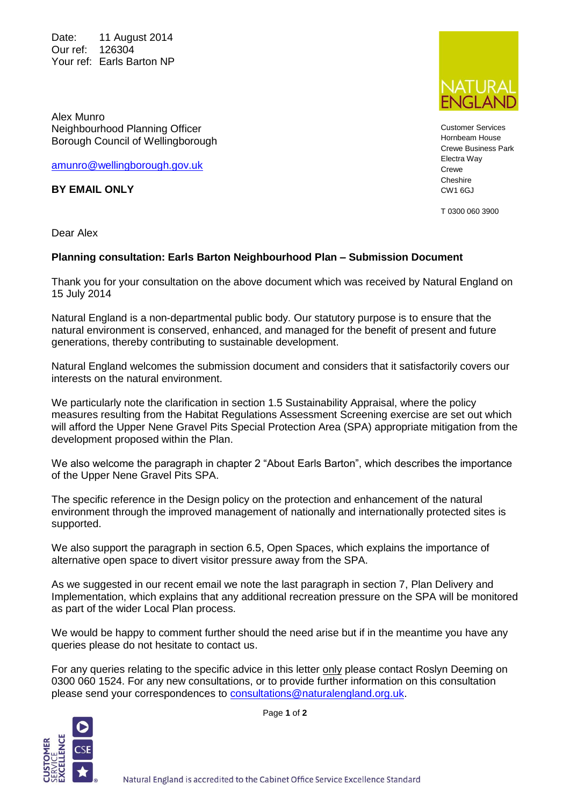Date: 11 August 2014 Our ref: 126304 Your ref: Earls Barton NP

Alex Munro Neighbourhood Planning Officer Borough Council of Wellingborough

[amunro@wellingborough.gov.uk](mailto:amunro@wellingborough.gov.uk)

**BY EMAIL ONLY**

Dear Alex

## **Planning consultation: Earls Barton Neighbourhood Plan – Submission Document**

Thank you for your consultation on the above document which was received by Natural England on 15 July 2014

Natural England is a non-departmental public body. Our statutory purpose is to ensure that the natural environment is conserved, enhanced, and managed for the benefit of present and future generations, thereby contributing to sustainable development.

Natural England welcomes the submission document and considers that it satisfactorily covers our interests on the natural environment.

We particularly note the clarification in section 1.5 Sustainability Appraisal, where the policy measures resulting from the Habitat Regulations Assessment Screening exercise are set out which will afford the Upper Nene Gravel Pits Special Protection Area (SPA) appropriate mitigation from the development proposed within the Plan.

We also welcome the paragraph in chapter 2 "About Earls Barton", which describes the importance of the Upper Nene Gravel Pits SPA.

The specific reference in the Design policy on the protection and enhancement of the natural environment through the improved management of nationally and internationally protected sites is supported.

We also support the paragraph in section 6.5, Open Spaces, which explains the importance of alternative open space to divert visitor pressure away from the SPA.

As we suggested in our recent email we note the last paragraph in section 7, Plan Delivery and Implementation, which explains that any additional recreation pressure on the SPA will be monitored as part of the wider Local Plan process.

We would be happy to comment further should the need arise but if in the meantime you have any queries please do not hesitate to contact us.

For any queries relating to the specific advice in this letter only please contact Roslyn Deeming on 0300 060 1524. For any new consultations, or to provide further information on this consultation please send your correspondences to [consultations@naturalengland.org.uk.](mailto:consultations@naturalengland.org.uk)



Page **1** of **2**



Customer Services Hornbeam House Crewe Business Park Electra Way Crewe Cheshire CW1 6GJ

T 0300 060 3900